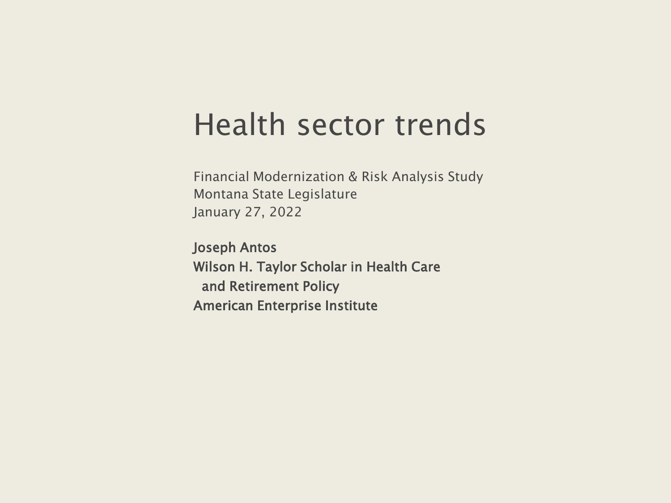#### Health sector trends

Financial Modernization & Risk Analysis Study Montana State Legislature January 27, 2022

Joseph Antos Wilson H. Taylor Scholar in Health Care and Retirement Policy American Enterprise Institute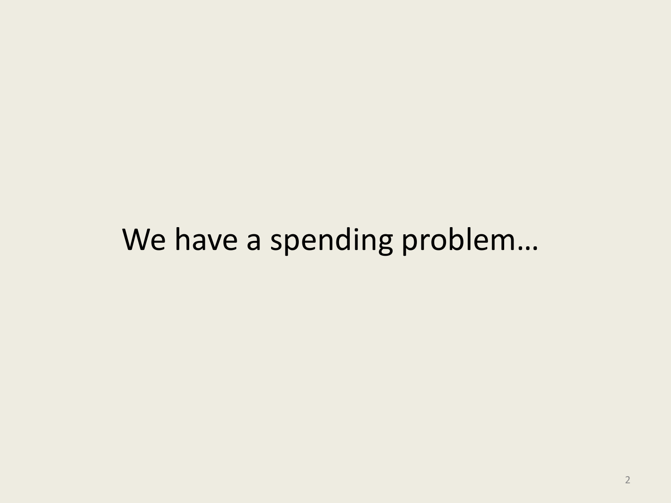### We have a spending problem…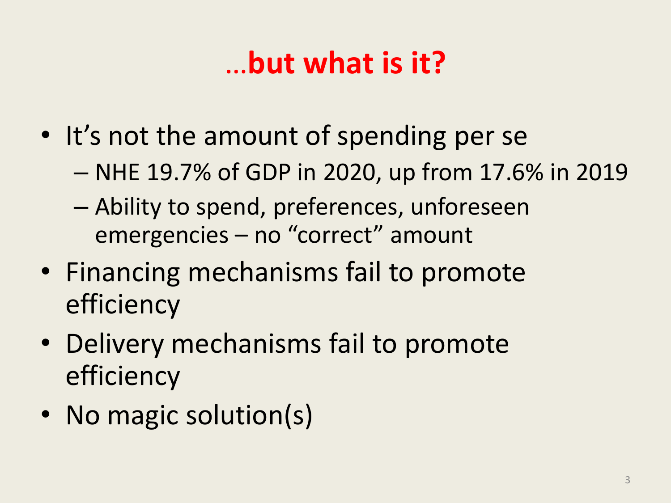## …**but what is it?**

- It's not the amount of spending per se
	- NHE 19.7% of GDP in 2020, up from 17.6% in 2019
	- Ability to spend, preferences, unforeseen emergencies – no "correct" amount
- Financing mechanisms fail to promote efficiency
- Delivery mechanisms fail to promote efficiency
- No magic solution(s)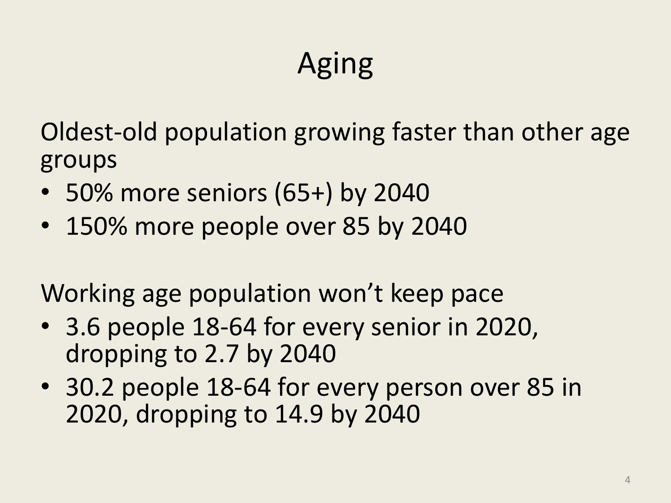# Aging

Oldest-old population growing faster than other age groups

- 50% more seniors (65+) by 2040
- 150% more people over 85 by 2040

Working age population won't keep pace

- 3.6 people 18-64 for every senior in 2020, dropping to 2.7 by 2040
- 30.2 people 18-64 for every person over 85 in 2020, dropping to 14.9 by 2040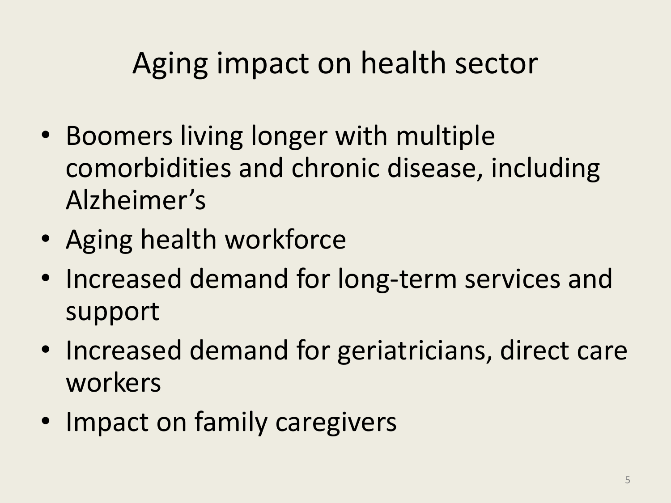## Aging impact on health sector

- Boomers living longer with multiple comorbidities and chronic disease, including Alzheimer's
- Aging health workforce
- Increased demand for long-term services and support
- Increased demand for geriatricians, direct care workers
- Impact on family caregivers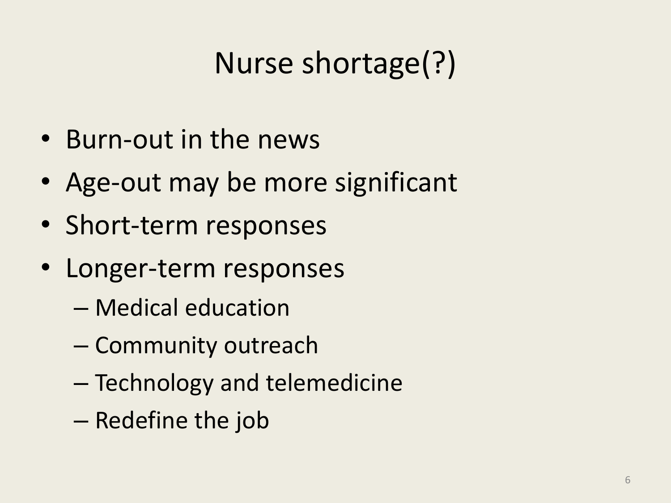## Nurse shortage(?)

- Burn-out in the news
- Age-out may be more significant
- Short-term responses
- Longer-term responses
	- Medical education
	- Community outreach
	- Technology and telemedicine
	- Redefine the job